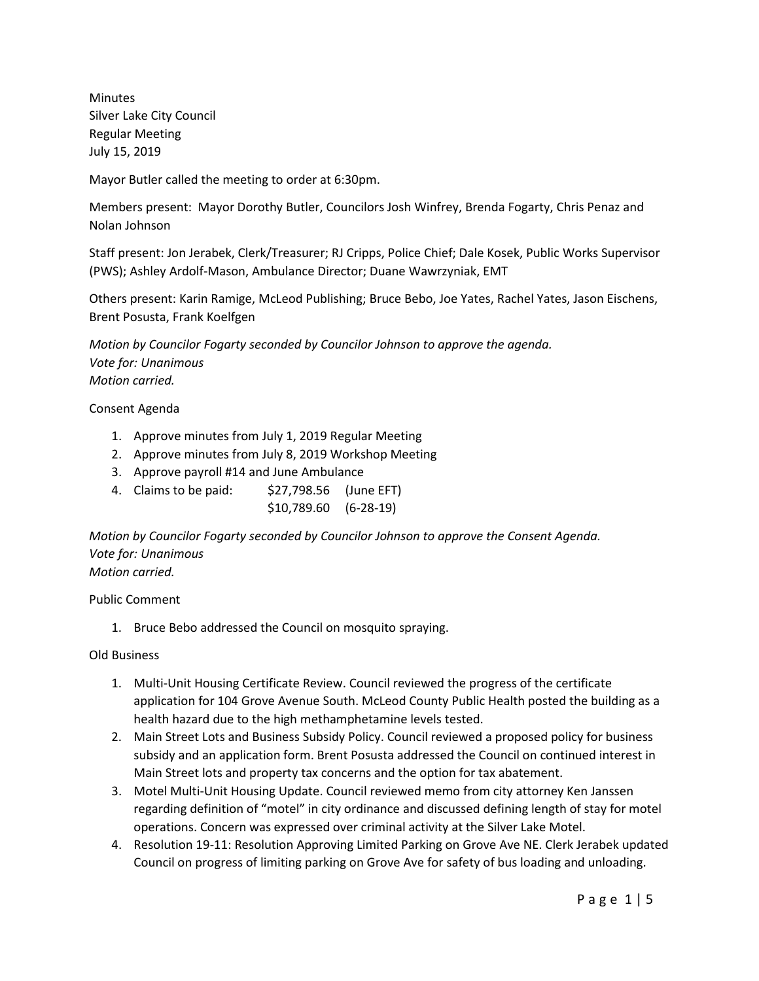Minutes Silver Lake City Council Regular Meeting July 15, 2019

Mayor Butler called the meeting to order at 6:30pm.

Members present: Mayor Dorothy Butler, Councilors Josh Winfrey, Brenda Fogarty, Chris Penaz and Nolan Johnson

Staff present: Jon Jerabek, Clerk/Treasurer; RJ Cripps, Police Chief; Dale Kosek, Public Works Supervisor (PWS); Ashley Ardolf-Mason, Ambulance Director; Duane Wawrzyniak, EMT

Others present: Karin Ramige, McLeod Publishing; Bruce Bebo, Joe Yates, Rachel Yates, Jason Eischens, Brent Posusta, Frank Koelfgen

*Motion by Councilor Fogarty seconded by Councilor Johnson to approve the agenda. Vote for: Unanimous Motion carried.*

Consent Agenda

- 1. Approve minutes from July 1, 2019 Regular Meeting
- 2. Approve minutes from July 8, 2019 Workshop Meeting
- 3. Approve payroll #14 and June Ambulance
- 4. Claims to be paid: \$27,798.56 (June EFT) \$10,789.60 (6-28-19)

*Motion by Councilor Fogarty seconded by Councilor Johnson to approve the Consent Agenda. Vote for: Unanimous Motion carried.*

Public Comment

1. Bruce Bebo addressed the Council on mosquito spraying.

Old Business

- 1. Multi-Unit Housing Certificate Review. Council reviewed the progress of the certificate application for 104 Grove Avenue South. McLeod County Public Health posted the building as a health hazard due to the high methamphetamine levels tested.
- 2. Main Street Lots and Business Subsidy Policy. Council reviewed a proposed policy for business subsidy and an application form. Brent Posusta addressed the Council on continued interest in Main Street lots and property tax concerns and the option for tax abatement.
- 3. Motel Multi-Unit Housing Update. Council reviewed memo from city attorney Ken Janssen regarding definition of "motel" in city ordinance and discussed defining length of stay for motel operations. Concern was expressed over criminal activity at the Silver Lake Motel.
- 4. Resolution 19-11: Resolution Approving Limited Parking on Grove Ave NE. Clerk Jerabek updated Council on progress of limiting parking on Grove Ave for safety of bus loading and unloading.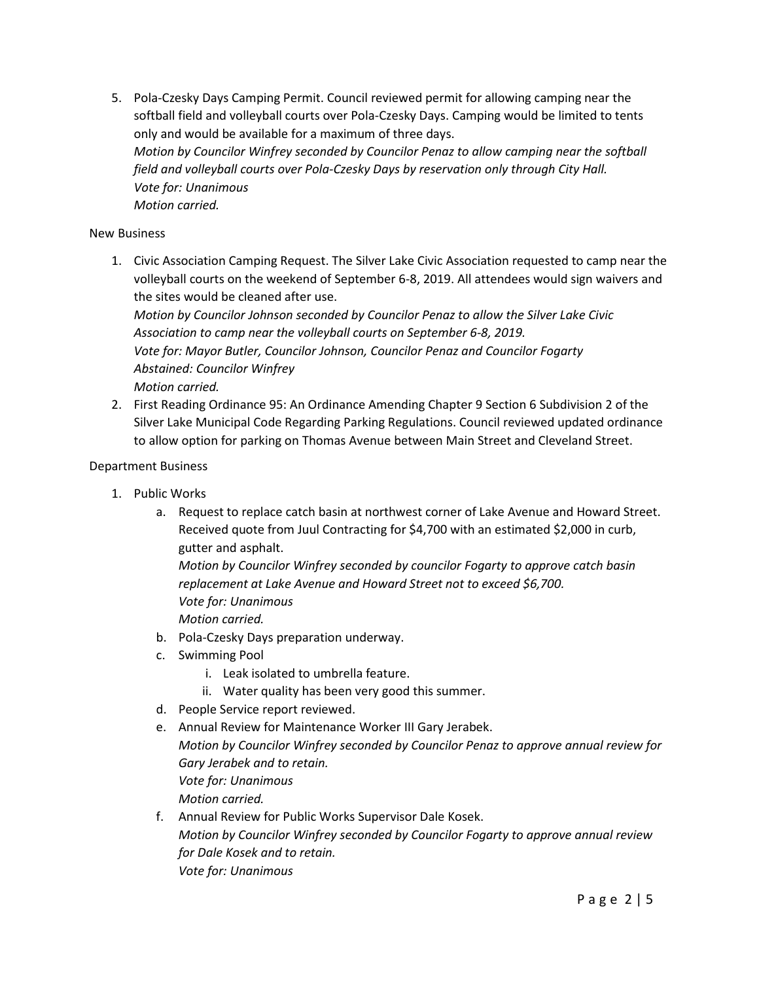5. Pola-Czesky Days Camping Permit. Council reviewed permit for allowing camping near the softball field and volleyball courts over Pola-Czesky Days. Camping would be limited to tents only and would be available for a maximum of three days. *Motion by Councilor Winfrey seconded by Councilor Penaz to allow camping near the softball field and volleyball courts over Pola-Czesky Days by reservation only through City Hall. Vote for: Unanimous Motion carried.*

## New Business

1. Civic Association Camping Request. The Silver Lake Civic Association requested to camp near the volleyball courts on the weekend of September 6-8, 2019. All attendees would sign waivers and the sites would be cleaned after use.

*Motion by Councilor Johnson seconded by Councilor Penaz to allow the Silver Lake Civic Association to camp near the volleyball courts on September 6-8, 2019. Vote for: Mayor Butler, Councilor Johnson, Councilor Penaz and Councilor Fogarty Abstained: Councilor Winfrey Motion carried.*

2. First Reading Ordinance 95: An Ordinance Amending Chapter 9 Section 6 Subdivision 2 of the Silver Lake Municipal Code Regarding Parking Regulations. Council reviewed updated ordinance to allow option for parking on Thomas Avenue between Main Street and Cleveland Street.

## Department Business

- 1. Public Works
	- a. Request to replace catch basin at northwest corner of Lake Avenue and Howard Street. Received quote from Juul Contracting for \$4,700 with an estimated \$2,000 in curb, gutter and asphalt.

*Motion by Councilor Winfrey seconded by councilor Fogarty to approve catch basin replacement at Lake Avenue and Howard Street not to exceed \$6,700. Vote for: Unanimous Motion carried.*

- b. Pola-Czesky Days preparation underway.
- c. Swimming Pool
	- i. Leak isolated to umbrella feature.
	- ii. Water quality has been very good this summer.
- d. People Service report reviewed.
- e. Annual Review for Maintenance Worker III Gary Jerabek. *Motion by Councilor Winfrey seconded by Councilor Penaz to approve annual review for Gary Jerabek and to retain. Vote for: Unanimous Motion carried.*
- f. Annual Review for Public Works Supervisor Dale Kosek. *Motion by Councilor Winfrey seconded by Councilor Fogarty to approve annual review for Dale Kosek and to retain. Vote for: Unanimous*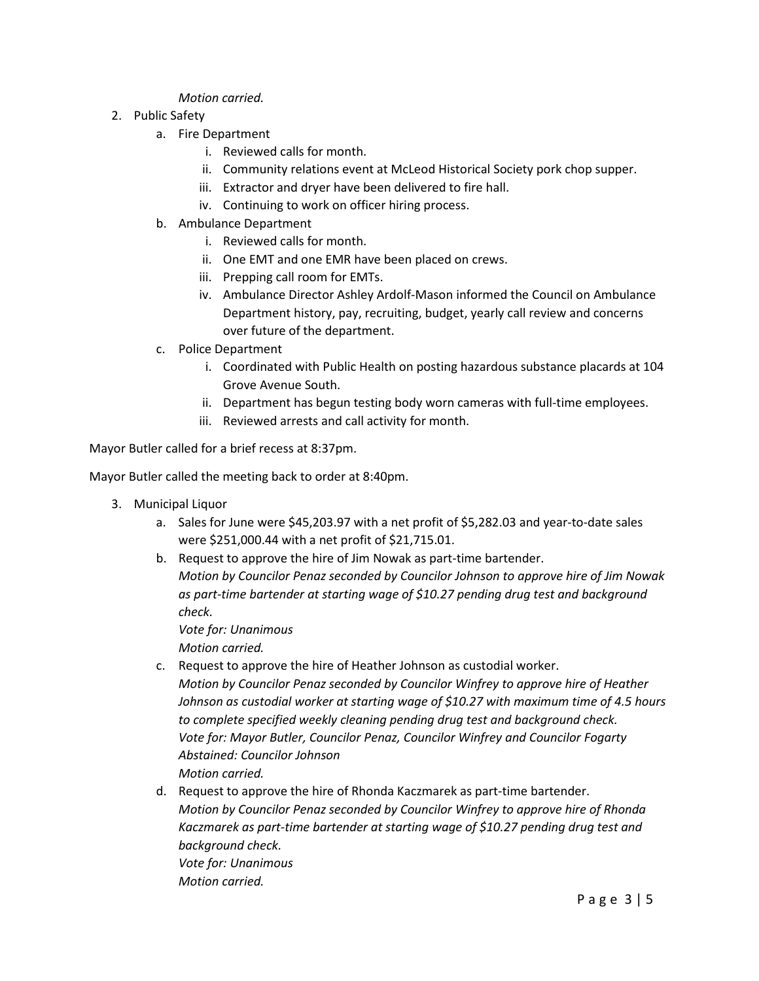## *Motion carried.*

- 2. Public Safety
	- a. Fire Department
		- i. Reviewed calls for month.
		- ii. Community relations event at McLeod Historical Society pork chop supper.
		- iii. Extractor and dryer have been delivered to fire hall.
		- iv. Continuing to work on officer hiring process.
	- b. Ambulance Department
		- i. Reviewed calls for month.
		- ii. One EMT and one EMR have been placed on crews.
		- iii. Prepping call room for EMTs.
		- iv. Ambulance Director Ashley Ardolf-Mason informed the Council on Ambulance Department history, pay, recruiting, budget, yearly call review and concerns over future of the department.
	- c. Police Department
		- i. Coordinated with Public Health on posting hazardous substance placards at 104 Grove Avenue South.
		- ii. Department has begun testing body worn cameras with full-time employees.
		- iii. Reviewed arrests and call activity for month.

Mayor Butler called for a brief recess at 8:37pm.

Mayor Butler called the meeting back to order at 8:40pm.

- 3. Municipal Liquor
	- a. Sales for June were \$45,203.97 with a net profit of \$5,282.03 and year-to-date sales were \$251,000.44 with a net profit of \$21,715.01.
	- b. Request to approve the hire of Jim Nowak as part-time bartender. *Motion by Councilor Penaz seconded by Councilor Johnson to approve hire of Jim Nowak as part-time bartender at starting wage of \$10.27 pending drug test and background check.*

*Vote for: Unanimous Motion carried.*

- c. Request to approve the hire of Heather Johnson as custodial worker. *Motion by Councilor Penaz seconded by Councilor Winfrey to approve hire of Heather Johnson as custodial worker at starting wage of \$10.27 with maximum time of 4.5 hours to complete specified weekly cleaning pending drug test and background check. Vote for: Mayor Butler, Councilor Penaz, Councilor Winfrey and Councilor Fogarty Abstained: Councilor Johnson Motion carried.*
- d. Request to approve the hire of Rhonda Kaczmarek as part-time bartender. *Motion by Councilor Penaz seconded by Councilor Winfrey to approve hire of Rhonda Kaczmarek as part-time bartender at starting wage of \$10.27 pending drug test and background check. Vote for: Unanimous Motion carried.*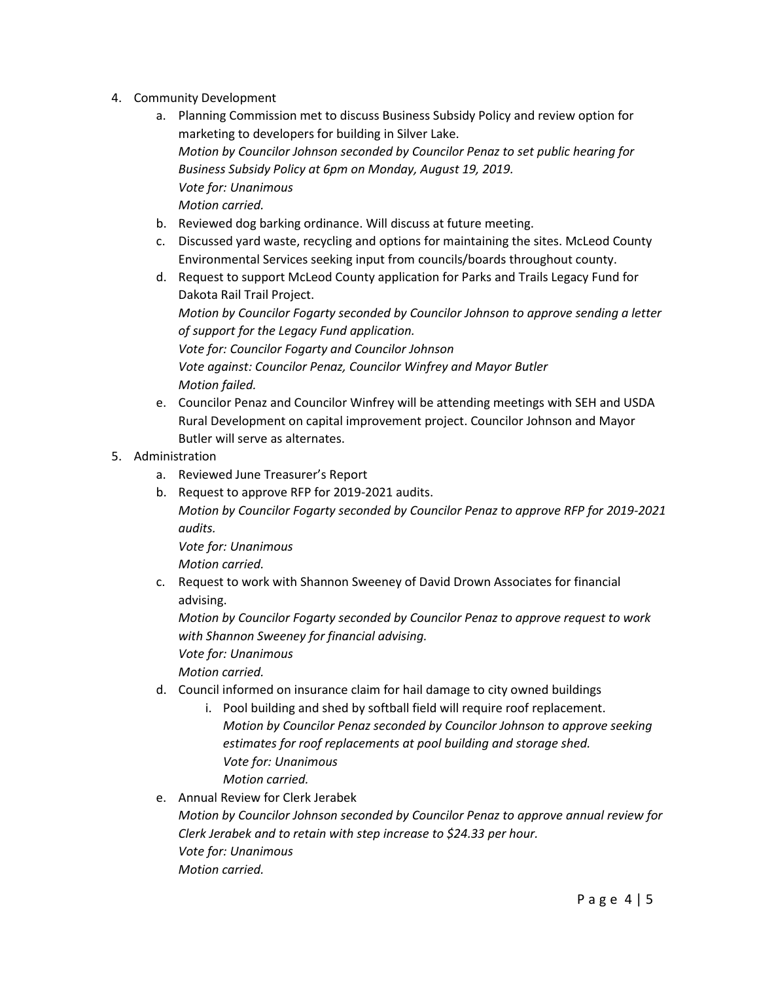- 4. Community Development
	- a. Planning Commission met to discuss Business Subsidy Policy and review option for marketing to developers for building in Silver Lake. *Motion by Councilor Johnson seconded by Councilor Penaz to set public hearing for Business Subsidy Policy at 6pm on Monday, August 19, 2019. Vote for: Unanimous Motion carried.*
	- b. Reviewed dog barking ordinance. Will discuss at future meeting.
	- c. Discussed yard waste, recycling and options for maintaining the sites. McLeod County Environmental Services seeking input from councils/boards throughout county.
	- d. Request to support McLeod County application for Parks and Trails Legacy Fund for Dakota Rail Trail Project.

*Motion by Councilor Fogarty seconded by Councilor Johnson to approve sending a letter of support for the Legacy Fund application.*

*Vote for: Councilor Fogarty and Councilor Johnson Vote against: Councilor Penaz, Councilor Winfrey and Mayor Butler Motion failed.* 

- e. Councilor Penaz and Councilor Winfrey will be attending meetings with SEH and USDA Rural Development on capital improvement project. Councilor Johnson and Mayor Butler will serve as alternates.
- 5. Administration
	- a. Reviewed June Treasurer's Report
	- b. Request to approve RFP for 2019-2021 audits.

*Motion by Councilor Fogarty seconded by Councilor Penaz to approve RFP for 2019-2021 audits.*

*Vote for: Unanimous*

*Motion carried.*

c. Request to work with Shannon Sweeney of David Drown Associates for financial advising.

*Motion by Councilor Fogarty seconded by Councilor Penaz to approve request to work with Shannon Sweeney for financial advising.*

*Vote for: Unanimous*

*Motion carried.*

- d. Council informed on insurance claim for hail damage to city owned buildings
	- i. Pool building and shed by softball field will require roof replacement. *Motion by Councilor Penaz seconded by Councilor Johnson to approve seeking estimates for roof replacements at pool building and storage shed. Vote for: Unanimous Motion carried.*
- e. Annual Review for Clerk Jerabek

*Motion by Councilor Johnson seconded by Councilor Penaz to approve annual review for Clerk Jerabek and to retain with step increase to \$24.33 per hour. Vote for: Unanimous Motion carried.*